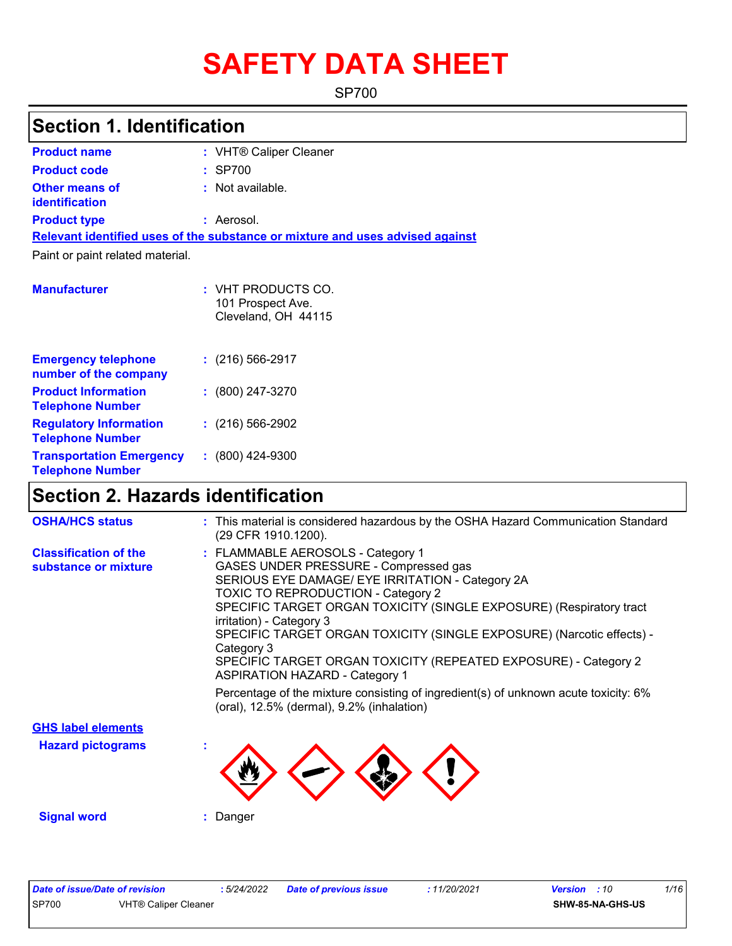# **SAFETY DATA SHEET**

SP700

# **Section 1. Identification**

| <b>Product name</b>                            | : VHT® Caliper Cleaner                                                        |
|------------------------------------------------|-------------------------------------------------------------------------------|
| <b>Product code</b>                            | $:$ SP700                                                                     |
| <b>Other means of</b><br><b>identification</b> | : Not available.                                                              |
| <b>Product type</b>                            | : Aerosol.                                                                    |
|                                                | Relevant identified uses of the substance or mixture and uses advised against |
|                                                |                                                                               |

Paint or paint related material.

| <b>Manufacturer</b>                                        | : VHT PRODUCTS CO.<br>101 Prospect Ave.<br>Cleveland, OH 44115 |
|------------------------------------------------------------|----------------------------------------------------------------|
| <b>Emergency telephone</b><br>number of the company        | $: (216) 566 - 2917$                                           |
| <b>Product Information</b><br><b>Telephone Number</b>      | $: (800) 247 - 3270$                                           |
| <b>Regulatory Information</b><br><b>Telephone Number</b>   | $: (216) 566 - 2902$                                           |
| <b>Transportation Emergency</b><br><b>Telephone Number</b> | $: (800)$ 424-9300                                             |

# **Section 2. Hazards identification**

| <b>OSHA/HCS status</b>                               | : This material is considered hazardous by the OSHA Hazard Communication Standard<br>(29 CFR 1910.1200).                                                                                                                                                                                                                                                                                                                                                                   |
|------------------------------------------------------|----------------------------------------------------------------------------------------------------------------------------------------------------------------------------------------------------------------------------------------------------------------------------------------------------------------------------------------------------------------------------------------------------------------------------------------------------------------------------|
| <b>Classification of the</b><br>substance or mixture | : FLAMMABLE AEROSOLS - Category 1<br>GASES UNDER PRESSURE - Compressed gas<br>SERIOUS EYE DAMAGE/ EYE IRRITATION - Category 2A<br>TOXIC TO REPRODUCTION - Category 2<br>SPECIFIC TARGET ORGAN TOXICITY (SINGLE EXPOSURE) (Respiratory tract<br>irritation) - Category 3<br>SPECIFIC TARGET ORGAN TOXICITY (SINGLE EXPOSURE) (Narcotic effects) -<br>Category 3<br>SPECIFIC TARGET ORGAN TOXICITY (REPEATED EXPOSURE) - Category 2<br><b>ASPIRATION HAZARD - Category 1</b> |
|                                                      | Percentage of the mixture consisting of ingredient(s) of unknown acute toxicity: 6%<br>(oral), 12.5% (dermal), 9.2% (inhalation)                                                                                                                                                                                                                                                                                                                                           |
| <b>GHS label elements</b>                            |                                                                                                                                                                                                                                                                                                                                                                                                                                                                            |
| <b>Hazard pictograms</b>                             |                                                                                                                                                                                                                                                                                                                                                                                                                                                                            |
| <b>Signal word</b>                                   | : Danger                                                                                                                                                                                                                                                                                                                                                                                                                                                                   |

| Date of issue/Date of revision |                             | : 5/24/2022 | <b>Date of previous issue</b> | 11/20/2021 | <b>Version</b> : 10 |                         | 1/16 |
|--------------------------------|-----------------------------|-------------|-------------------------------|------------|---------------------|-------------------------|------|
| <b>SP700</b>                   | <b>VHT® Caliper Cleaner</b> |             |                               |            |                     | <b>SHW-85-NA-GHS-US</b> |      |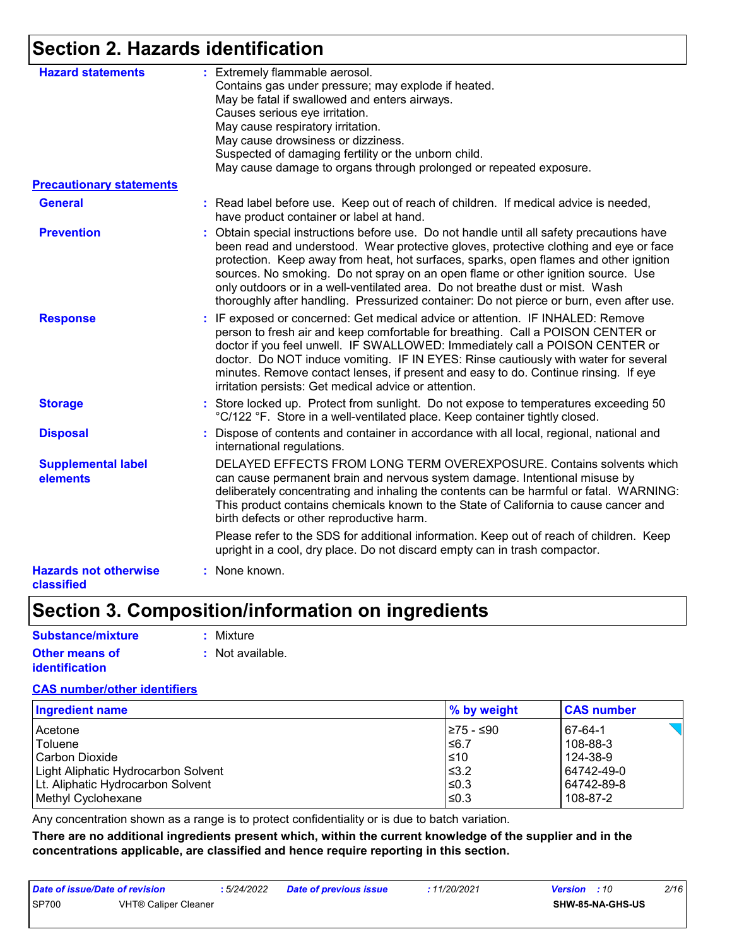# **Section 2. Hazards identification**

| <b>Hazard statements</b>                   | : Extremely flammable aerosol.<br>Contains gas under pressure; may explode if heated.<br>May be fatal if swallowed and enters airways.<br>Causes serious eye irritation.<br>May cause respiratory irritation.<br>May cause drowsiness or dizziness.<br>Suspected of damaging fertility or the unborn child.<br>May cause damage to organs through prolonged or repeated exposure.                                                                                                                                                            |
|--------------------------------------------|----------------------------------------------------------------------------------------------------------------------------------------------------------------------------------------------------------------------------------------------------------------------------------------------------------------------------------------------------------------------------------------------------------------------------------------------------------------------------------------------------------------------------------------------|
| <b>Precautionary statements</b>            |                                                                                                                                                                                                                                                                                                                                                                                                                                                                                                                                              |
| <b>General</b>                             | : Read label before use. Keep out of reach of children. If medical advice is needed,<br>have product container or label at hand.                                                                                                                                                                                                                                                                                                                                                                                                             |
| <b>Prevention</b>                          | : Obtain special instructions before use. Do not handle until all safety precautions have<br>been read and understood. Wear protective gloves, protective clothing and eye or face<br>protection. Keep away from heat, hot surfaces, sparks, open flames and other ignition<br>sources. No smoking. Do not spray on an open flame or other ignition source. Use<br>only outdoors or in a well-ventilated area. Do not breathe dust or mist. Wash<br>thoroughly after handling. Pressurized container: Do not pierce or burn, even after use. |
| <b>Response</b>                            | : IF exposed or concerned: Get medical advice or attention. IF INHALED: Remove<br>person to fresh air and keep comfortable for breathing. Call a POISON CENTER or<br>doctor if you feel unwell. IF SWALLOWED: Immediately call a POISON CENTER or<br>doctor. Do NOT induce vomiting. IF IN EYES: Rinse cautiously with water for several<br>minutes. Remove contact lenses, if present and easy to do. Continue rinsing. If eye<br>irritation persists: Get medical advice or attention.                                                     |
| <b>Storage</b>                             | : Store locked up. Protect from sunlight. Do not expose to temperatures exceeding 50<br>°C/122 °F. Store in a well-ventilated place. Keep container tightly closed.                                                                                                                                                                                                                                                                                                                                                                          |
| <b>Disposal</b>                            | Dispose of contents and container in accordance with all local, regional, national and<br>international regulations.                                                                                                                                                                                                                                                                                                                                                                                                                         |
| <b>Supplemental label</b><br>elements      | DELAYED EFFECTS FROM LONG TERM OVEREXPOSURE. Contains solvents which<br>can cause permanent brain and nervous system damage. Intentional misuse by<br>deliberately concentrating and inhaling the contents can be harmful or fatal. WARNING:<br>This product contains chemicals known to the State of California to cause cancer and<br>birth defects or other reproductive harm.                                                                                                                                                            |
|                                            | Please refer to the SDS for additional information. Keep out of reach of children. Keep<br>upright in a cool, dry place. Do not discard empty can in trash compactor.                                                                                                                                                                                                                                                                                                                                                                        |
| <b>Hazards not otherwise</b><br>classified | : None known.                                                                                                                                                                                                                                                                                                                                                                                                                                                                                                                                |

# **Section 3. Composition/information on ingredients**

| Substance/mixture     | : Mixture                   |
|-----------------------|-----------------------------|
| <b>Other means of</b> | $\therefore$ Not available. |
| identification        |                             |

### **CAS number/other identifiers**

| <b>Ingredient name</b>              | $\%$ by weight | <b>CAS number</b> |
|-------------------------------------|----------------|-------------------|
| l Acetone                           | I≥75 - ≤90     | 67-64-1           |
| Toluene                             | 56.7           | 108-88-3          |
| l Carbon Dioxide                    | ≤10            | 124-38-9          |
| Light Aliphatic Hydrocarbon Solvent | $≤3.2$         | 64742-49-0        |
| Lt. Aliphatic Hydrocarbon Solvent   | l≤0.3          | 64742-89-8        |
| Methyl Cyclohexane                  | l≤0.3          | 108-87-2          |

Any concentration shown as a range is to protect confidentiality or is due to batch variation.

**There are no additional ingredients present which, within the current knowledge of the supplier and in the concentrations applicable, are classified and hence require reporting in this section.**

| Date of issue/Date of revision |                      | : 5/24/2022 | Date of previous issue | 11/20/2021 | <b>Version</b> : 10 |                  | 2/16 |
|--------------------------------|----------------------|-------------|------------------------|------------|---------------------|------------------|------|
| <b>SP700</b>                   | VHT® Caliper Cleaner |             |                        |            |                     | SHW-85-NA-GHS-US |      |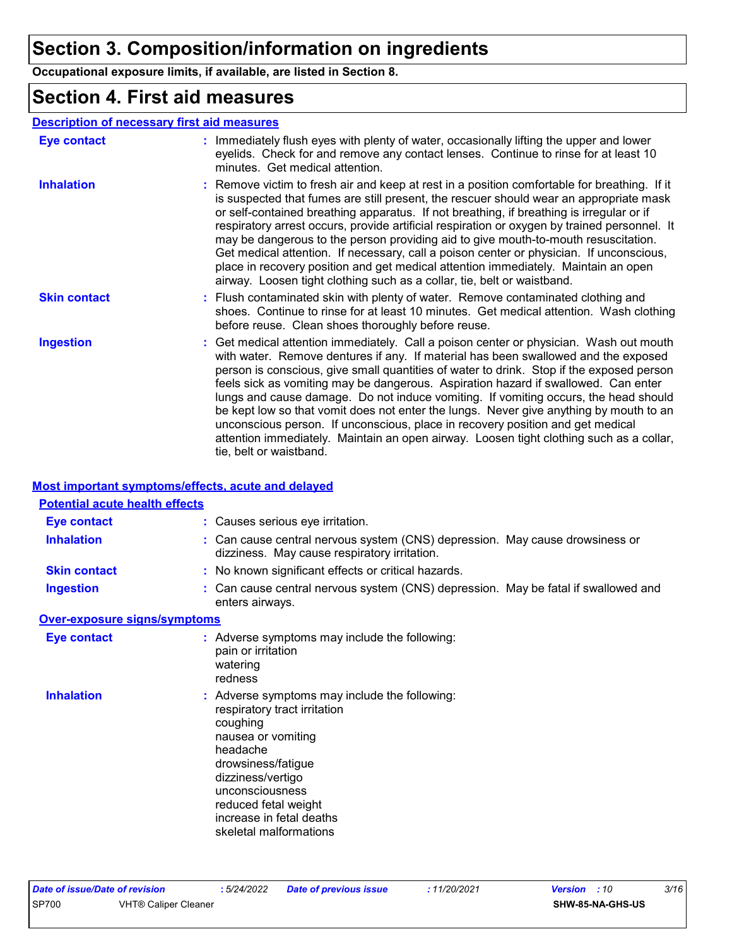# **Section 3. Composition/information on ingredients**

**Occupational exposure limits, if available, are listed in Section 8.**

### **Section 4. First aid measures**

### **Description of necessary first aid measures**

| <b>Eye contact</b>  | : Immediately flush eyes with plenty of water, occasionally lifting the upper and lower<br>eyelids. Check for and remove any contact lenses. Continue to rinse for at least 10<br>minutes. Get medical attention.                                                                                                                                                                                                                                                                                                                                                                                                                                                                                                                                       |
|---------------------|---------------------------------------------------------------------------------------------------------------------------------------------------------------------------------------------------------------------------------------------------------------------------------------------------------------------------------------------------------------------------------------------------------------------------------------------------------------------------------------------------------------------------------------------------------------------------------------------------------------------------------------------------------------------------------------------------------------------------------------------------------|
| <b>Inhalation</b>   | : Remove victim to fresh air and keep at rest in a position comfortable for breathing. If it<br>is suspected that fumes are still present, the rescuer should wear an appropriate mask<br>or self-contained breathing apparatus. If not breathing, if breathing is irregular or if<br>respiratory arrest occurs, provide artificial respiration or oxygen by trained personnel. It<br>may be dangerous to the person providing aid to give mouth-to-mouth resuscitation.<br>Get medical attention. If necessary, call a poison center or physician. If unconscious,<br>place in recovery position and get medical attention immediately. Maintain an open<br>airway. Loosen tight clothing such as a collar, tie, belt or waistband.                    |
| <b>Skin contact</b> | : Flush contaminated skin with plenty of water. Remove contaminated clothing and<br>shoes. Continue to rinse for at least 10 minutes. Get medical attention. Wash clothing<br>before reuse. Clean shoes thoroughly before reuse.                                                                                                                                                                                                                                                                                                                                                                                                                                                                                                                        |
| <b>Ingestion</b>    | : Get medical attention immediately. Call a poison center or physician. Wash out mouth<br>with water. Remove dentures if any. If material has been swallowed and the exposed<br>person is conscious, give small quantities of water to drink. Stop if the exposed person<br>feels sick as vomiting may be dangerous. Aspiration hazard if swallowed. Can enter<br>lungs and cause damage. Do not induce vomiting. If vomiting occurs, the head should<br>be kept low so that vomit does not enter the lungs. Never give anything by mouth to an<br>unconscious person. If unconscious, place in recovery position and get medical<br>attention immediately. Maintain an open airway. Loosen tight clothing such as a collar,<br>tie, belt or waistband. |

### **Most important symptoms/effects, acute and delayed**

| <b>Potential acute health effects</b> |                                                                                                                                                                                                                                                                         |
|---------------------------------------|-------------------------------------------------------------------------------------------------------------------------------------------------------------------------------------------------------------------------------------------------------------------------|
| <b>Eye contact</b>                    | : Causes serious eye irritation.                                                                                                                                                                                                                                        |
| <b>Inhalation</b>                     | : Can cause central nervous system (CNS) depression. May cause drowsiness or<br>dizziness. May cause respiratory irritation.                                                                                                                                            |
| <b>Skin contact</b>                   | : No known significant effects or critical hazards.                                                                                                                                                                                                                     |
| <b>Ingestion</b>                      | : Can cause central nervous system (CNS) depression. May be fatal if swallowed and<br>enters airways.                                                                                                                                                                   |
| <b>Over-exposure signs/symptoms</b>   |                                                                                                                                                                                                                                                                         |
| <b>Eye contact</b>                    | : Adverse symptoms may include the following:<br>pain or irritation<br>watering<br>redness                                                                                                                                                                              |
| <b>Inhalation</b>                     | : Adverse symptoms may include the following:<br>respiratory tract irritation<br>coughing<br>nausea or vomiting<br>headache<br>drowsiness/fatigue<br>dizziness/vertigo<br>unconsciousness<br>reduced fetal weight<br>increase in fetal deaths<br>skeletal malformations |

| Date of issue/Date of revision |                             | : 5/24/2022 | Date of previous issue | : 11/20/2021 | <b>Version</b> : 10 |                         | 3/16 |
|--------------------------------|-----------------------------|-------------|------------------------|--------------|---------------------|-------------------------|------|
| <b>SP700</b>                   | <b>VHT® Caliper Cleaner</b> |             |                        |              |                     | <b>SHW-85-NA-GHS-US</b> |      |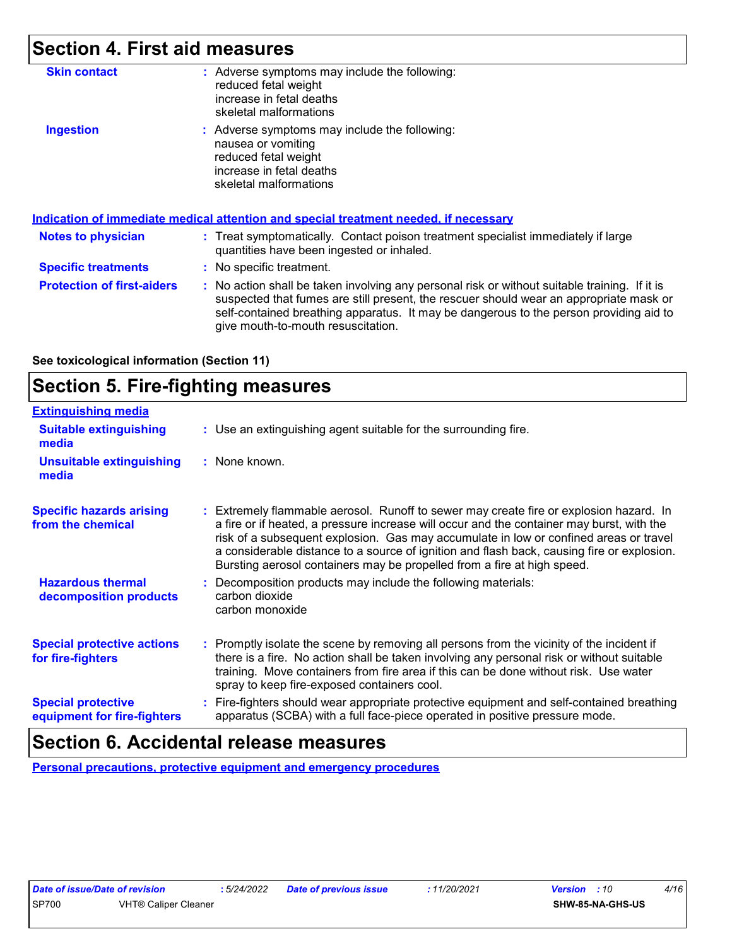# **Section 4. First aid measures**

| : Adverse symptoms may include the following:<br>reduced fetal weight<br>increase in fetal deaths<br>skeletal malformations                                                                                                                                                                                             |
|-------------------------------------------------------------------------------------------------------------------------------------------------------------------------------------------------------------------------------------------------------------------------------------------------------------------------|
| : Adverse symptoms may include the following:<br>nausea or vomiting<br>reduced fetal weight<br>increase in fetal deaths<br>skeletal malformations                                                                                                                                                                       |
| <b>Indication of immediate medical attention and special treatment needed, if necessary</b>                                                                                                                                                                                                                             |
| : Treat symptomatically. Contact poison treatment specialist immediately if large<br>quantities have been ingested or inhaled.                                                                                                                                                                                          |
| : No specific treatment.                                                                                                                                                                                                                                                                                                |
| : No action shall be taken involving any personal risk or without suitable training. If it is<br>suspected that fumes are still present, the rescuer should wear an appropriate mask or<br>self-contained breathing apparatus. It may be dangerous to the person providing aid to<br>give mouth-to-mouth resuscitation. |
|                                                                                                                                                                                                                                                                                                                         |

**See toxicological information (Section 11)**

# **Section 5. Fire-fighting measures**

| <b>Extinguishing media</b>                               |                                                                                                                                                                                                                                                                                                                                                                                                                                                       |
|----------------------------------------------------------|-------------------------------------------------------------------------------------------------------------------------------------------------------------------------------------------------------------------------------------------------------------------------------------------------------------------------------------------------------------------------------------------------------------------------------------------------------|
| <b>Suitable extinguishing</b><br>media                   | : Use an extinguishing agent suitable for the surrounding fire.                                                                                                                                                                                                                                                                                                                                                                                       |
| <b>Unsuitable extinguishing</b><br>media                 | : None known.                                                                                                                                                                                                                                                                                                                                                                                                                                         |
| <b>Specific hazards arising</b><br>from the chemical     | : Extremely flammable aerosol. Runoff to sewer may create fire or explosion hazard. In<br>a fire or if heated, a pressure increase will occur and the container may burst, with the<br>risk of a subsequent explosion. Gas may accumulate in low or confined areas or travel<br>a considerable distance to a source of ignition and flash back, causing fire or explosion.<br>Bursting aerosol containers may be propelled from a fire at high speed. |
| <b>Hazardous thermal</b><br>decomposition products       | Decomposition products may include the following materials:<br>carbon dioxide<br>carbon monoxide                                                                                                                                                                                                                                                                                                                                                      |
| <b>Special protective actions</b><br>for fire-fighters   | : Promptly isolate the scene by removing all persons from the vicinity of the incident if<br>there is a fire. No action shall be taken involving any personal risk or without suitable<br>training. Move containers from fire area if this can be done without risk. Use water<br>spray to keep fire-exposed containers cool.                                                                                                                         |
| <b>Special protective</b><br>equipment for fire-fighters | Fire-fighters should wear appropriate protective equipment and self-contained breathing<br>apparatus (SCBA) with a full face-piece operated in positive pressure mode.                                                                                                                                                                                                                                                                                |

# **Section 6. Accidental release measures**

**Personal precautions, protective equipment and emergency procedures**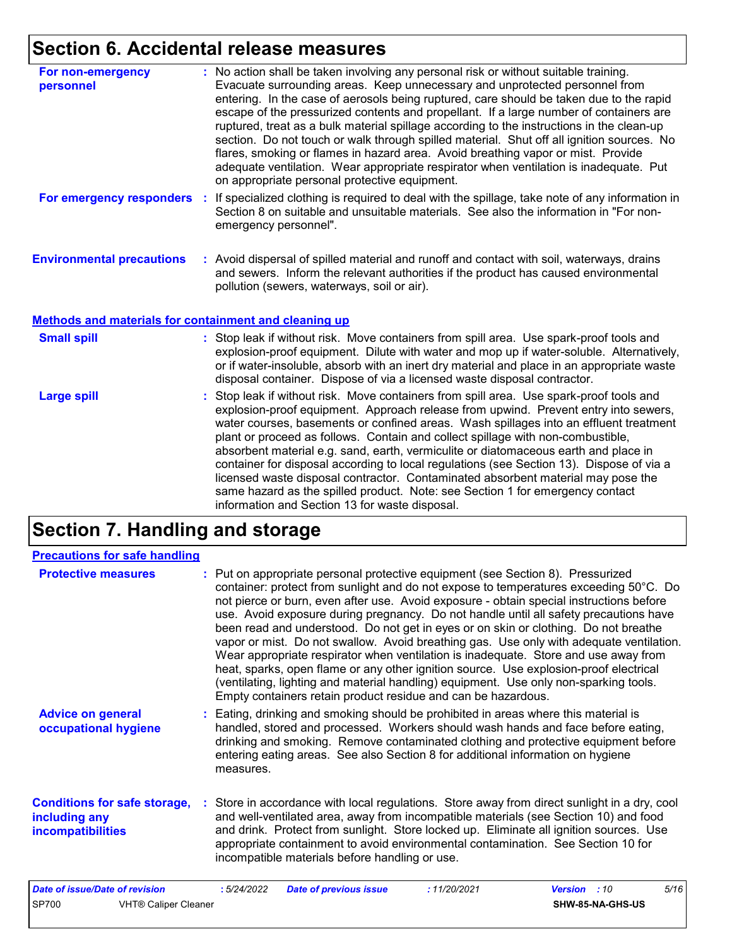# **Section 6. Accidental release measures**

| For non-emergency<br>personnel                               | : No action shall be taken involving any personal risk or without suitable training.<br>Evacuate surrounding areas. Keep unnecessary and unprotected personnel from<br>entering. In the case of aerosols being ruptured, care should be taken due to the rapid<br>escape of the pressurized contents and propellant. If a large number of containers are<br>ruptured, treat as a bulk material spillage according to the instructions in the clean-up<br>section. Do not touch or walk through spilled material. Shut off all ignition sources. No<br>flares, smoking or flames in hazard area. Avoid breathing vapor or mist. Provide<br>adequate ventilation. Wear appropriate respirator when ventilation is inadequate. Put<br>on appropriate personal protective equipment. |
|--------------------------------------------------------------|----------------------------------------------------------------------------------------------------------------------------------------------------------------------------------------------------------------------------------------------------------------------------------------------------------------------------------------------------------------------------------------------------------------------------------------------------------------------------------------------------------------------------------------------------------------------------------------------------------------------------------------------------------------------------------------------------------------------------------------------------------------------------------|
| For emergency responders                                     | : If specialized clothing is required to deal with the spillage, take note of any information in<br>Section 8 on suitable and unsuitable materials. See also the information in "For non-<br>emergency personnel".                                                                                                                                                                                                                                                                                                                                                                                                                                                                                                                                                               |
| <b>Environmental precautions</b>                             | : Avoid dispersal of spilled material and runoff and contact with soil, waterways, drains<br>and sewers. Inform the relevant authorities if the product has caused environmental<br>pollution (sewers, waterways, soil or air).                                                                                                                                                                                                                                                                                                                                                                                                                                                                                                                                                  |
| <b>Methods and materials for containment and cleaning up</b> |                                                                                                                                                                                                                                                                                                                                                                                                                                                                                                                                                                                                                                                                                                                                                                                  |

| <b>Small spill</b> | : Stop leak if without risk. Move containers from spill area. Use spark-proof tools and<br>explosion-proof equipment. Dilute with water and mop up if water-soluble. Alternatively,<br>or if water-insoluble, absorb with an inert dry material and place in an appropriate waste<br>disposal container. Dispose of via a licensed waste disposal contractor.                                                                                  |
|--------------------|------------------------------------------------------------------------------------------------------------------------------------------------------------------------------------------------------------------------------------------------------------------------------------------------------------------------------------------------------------------------------------------------------------------------------------------------|
| <b>Large spill</b> | : Stop leak if without risk. Move containers from spill area. Use spark-proof tools and<br>explosion-proof equipment. Approach release from upwind. Prevent entry into sewers,<br>water courses, basements or confined areas. Wash spillages into an effluent treatment<br>plant or proceed as follows. Contain and collect spillage with non-combustible,<br>absorbent material e q sand earth vermiculite or distomaçeous earth and place in |

absorbent material e.g. sand, earth, vermiculite or diatomaceous earth and place in container for disposal according to local regulations (see Section 13). Dispose of via a licensed waste disposal contractor. Contaminated absorbent material may pose the same hazard as the spilled product. Note: see Section 1 for emergency contact information and Section 13 for waste disposal.

# **Section 7. Handling and storage**

| <b>Precautions for safe handling</b>                                                 |                                                                                                                                                                                                                                                                                                                                                                                                                                                                                                                                                                                                                                                                                                                                                                                                                                                                                          |                                                 |
|--------------------------------------------------------------------------------------|------------------------------------------------------------------------------------------------------------------------------------------------------------------------------------------------------------------------------------------------------------------------------------------------------------------------------------------------------------------------------------------------------------------------------------------------------------------------------------------------------------------------------------------------------------------------------------------------------------------------------------------------------------------------------------------------------------------------------------------------------------------------------------------------------------------------------------------------------------------------------------------|-------------------------------------------------|
| <b>Protective measures</b>                                                           | : Put on appropriate personal protective equipment (see Section 8). Pressurized<br>container: protect from sunlight and do not expose to temperatures exceeding 50°C. Do<br>not pierce or burn, even after use. Avoid exposure - obtain special instructions before<br>use. Avoid exposure during pregnancy. Do not handle until all safety precautions have<br>been read and understood. Do not get in eyes or on skin or clothing. Do not breathe<br>vapor or mist. Do not swallow. Avoid breathing gas. Use only with adequate ventilation.<br>Wear appropriate respirator when ventilation is inadequate. Store and use away from<br>heat, sparks, open flame or any other ignition source. Use explosion-proof electrical<br>(ventilating, lighting and material handling) equipment. Use only non-sparking tools.<br>Empty containers retain product residue and can be hazardous. |                                                 |
| <b>Advice on general</b><br>occupational hygiene                                     | : Eating, drinking and smoking should be prohibited in areas where this material is<br>handled, stored and processed. Workers should wash hands and face before eating,<br>drinking and smoking. Remove contaminated clothing and protective equipment before<br>entering eating areas. See also Section 8 for additional information on hygiene<br>measures.                                                                                                                                                                                                                                                                                                                                                                                                                                                                                                                            |                                                 |
| <b>Conditions for safe storage,</b><br>including any<br>incompatibilities            | Store in accordance with local regulations. Store away from direct sunlight in a dry, cool<br>and well-ventilated area, away from incompatible materials (see Section 10) and food<br>and drink. Protect from sunlight. Store locked up. Eliminate all ignition sources. Use<br>appropriate containment to avoid environmental contamination. See Section 10 for<br>incompatible materials before handling or use.                                                                                                                                                                                                                                                                                                                                                                                                                                                                       |                                                 |
| <b>Date of issue/Date of revision</b><br><b>SP700</b><br><b>VHT® Caliper Cleaner</b> | <b>Date of previous issue</b><br>:11/20/2021<br>:5/24/2022                                                                                                                                                                                                                                                                                                                                                                                                                                                                                                                                                                                                                                                                                                                                                                                                                               | 5/16<br><b>Version</b> : 10<br>SHW-85-NA-GHS-US |
|                                                                                      |                                                                                                                                                                                                                                                                                                                                                                                                                                                                                                                                                                                                                                                                                                                                                                                                                                                                                          |                                                 |

| <u>v Granom</u> | .               |
|-----------------|-----------------|
|                 | SHW-85-NA-GHS-U |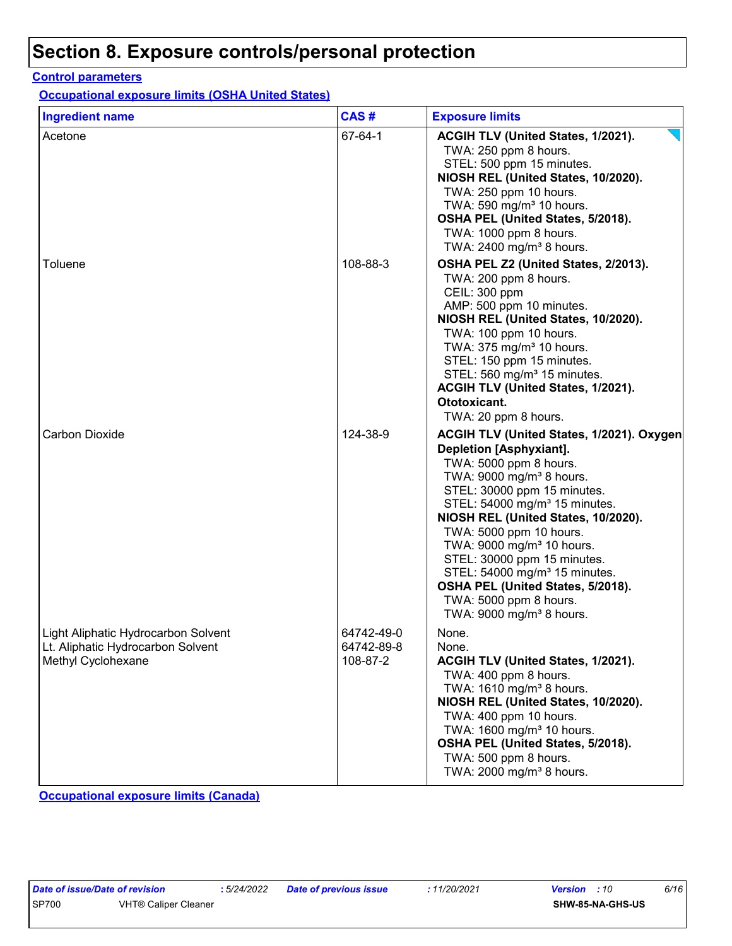# **Section 8. Exposure controls/personal protection**

### **Control parameters**

**Occupational exposure limits (OSHA United States)**

| <b>Ingredient name</b>                                                                         | CAS#                                 | <b>Exposure limits</b>                                                                                                                                                                                                                                                                                                                                                                                                                                                                                                  |
|------------------------------------------------------------------------------------------------|--------------------------------------|-------------------------------------------------------------------------------------------------------------------------------------------------------------------------------------------------------------------------------------------------------------------------------------------------------------------------------------------------------------------------------------------------------------------------------------------------------------------------------------------------------------------------|
| Acetone                                                                                        | 67-64-1                              | ACGIH TLV (United States, 1/2021).<br>TWA: 250 ppm 8 hours.<br>STEL: 500 ppm 15 minutes.<br>NIOSH REL (United States, 10/2020).<br>TWA: 250 ppm 10 hours.<br>TWA: 590 mg/m <sup>3</sup> 10 hours.<br>OSHA PEL (United States, 5/2018).<br>TWA: 1000 ppm 8 hours.<br>TWA: 2400 mg/m <sup>3</sup> 8 hours.                                                                                                                                                                                                                |
| Toluene                                                                                        | 108-88-3                             | OSHA PEL Z2 (United States, 2/2013).<br>TWA: 200 ppm 8 hours.<br>CEIL: 300 ppm<br>AMP: 500 ppm 10 minutes.<br>NIOSH REL (United States, 10/2020).<br>TWA: 100 ppm 10 hours.<br>TWA: 375 mg/m <sup>3</sup> 10 hours.<br>STEL: 150 ppm 15 minutes.<br>STEL: 560 mg/m <sup>3</sup> 15 minutes.<br>ACGIH TLV (United States, 1/2021).<br>Ototoxicant.<br>TWA: 20 ppm 8 hours.                                                                                                                                               |
| <b>Carbon Dioxide</b>                                                                          | 124-38-9                             | ACGIH TLV (United States, 1/2021). Oxygen<br><b>Depletion [Asphyxiant].</b><br>TWA: 5000 ppm 8 hours.<br>TWA: 9000 mg/m <sup>3</sup> 8 hours.<br>STEL: 30000 ppm 15 minutes.<br>STEL: 54000 mg/m <sup>3</sup> 15 minutes.<br>NIOSH REL (United States, 10/2020).<br>TWA: 5000 ppm 10 hours.<br>TWA: 9000 mg/m <sup>3</sup> 10 hours.<br>STEL: 30000 ppm 15 minutes.<br>STEL: 54000 mg/m <sup>3</sup> 15 minutes.<br>OSHA PEL (United States, 5/2018).<br>TWA: 5000 ppm 8 hours.<br>TWA: 9000 mg/m <sup>3</sup> 8 hours. |
| Light Aliphatic Hydrocarbon Solvent<br>Lt. Aliphatic Hydrocarbon Solvent<br>Methyl Cyclohexane | 64742-49-0<br>64742-89-8<br>108-87-2 | None.<br>None.<br>ACGIH TLV (United States, 1/2021).<br>TWA: 400 ppm 8 hours.<br>TWA: 1610 mg/m <sup>3</sup> 8 hours.<br>NIOSH REL (United States, 10/2020).<br>TWA: 400 ppm 10 hours.<br>TWA: 1600 mg/m <sup>3</sup> 10 hours.<br>OSHA PEL (United States, 5/2018).<br>TWA: 500 ppm 8 hours.<br>TWA: 2000 mg/m <sup>3</sup> 8 hours.                                                                                                                                                                                   |

**Occupational exposure limits (Canada)**

|       | Date of issue/Date of re |            |
|-------|--------------------------|------------|
| SP700 |                          | <b>VHT</b> |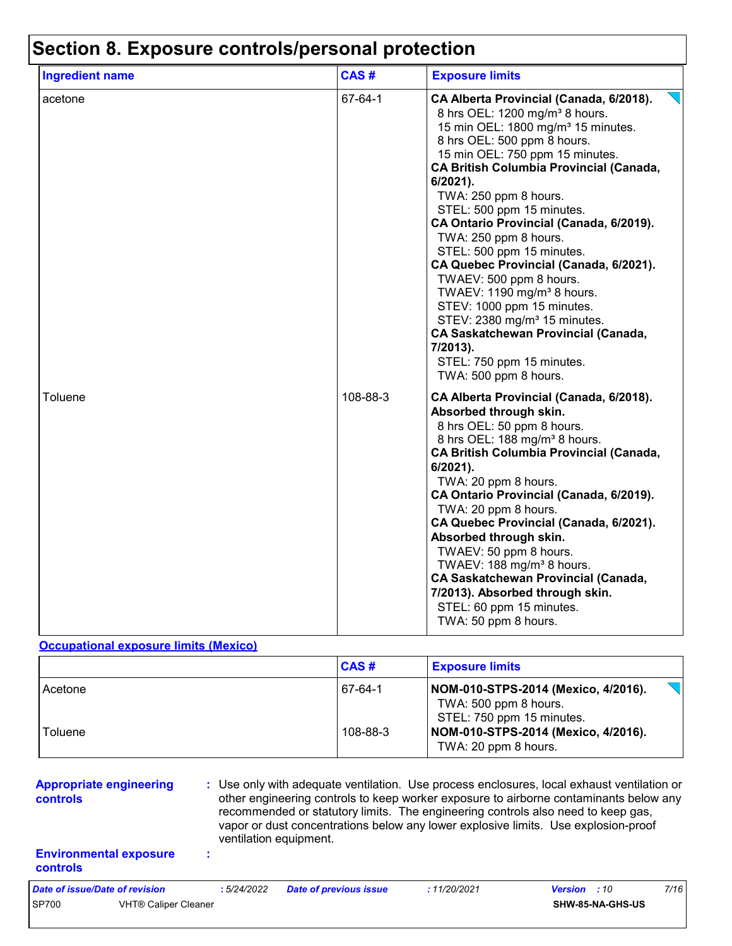## **Section 8. Exposure controls/personal protection**

| <b>Ingredient name</b> | CAS#     | <b>Exposure limits</b>                                                                                                                                                                                                                                                                                                                                                                                                                                                                                                                                                                                                                                                                                                                  |
|------------------------|----------|-----------------------------------------------------------------------------------------------------------------------------------------------------------------------------------------------------------------------------------------------------------------------------------------------------------------------------------------------------------------------------------------------------------------------------------------------------------------------------------------------------------------------------------------------------------------------------------------------------------------------------------------------------------------------------------------------------------------------------------------|
| acetone                | 67-64-1  | CA Alberta Provincial (Canada, 6/2018).<br>8 hrs OEL: 1200 mg/m <sup>3</sup> 8 hours.<br>15 min OEL: 1800 mg/m <sup>3</sup> 15 minutes.<br>8 hrs OEL: 500 ppm 8 hours.<br>15 min OEL: 750 ppm 15 minutes.<br><b>CA British Columbia Provincial (Canada,</b><br>6/2021).<br>TWA: 250 ppm 8 hours.<br>STEL: 500 ppm 15 minutes.<br>CA Ontario Provincial (Canada, 6/2019).<br>TWA: 250 ppm 8 hours.<br>STEL: 500 ppm 15 minutes.<br>CA Quebec Provincial (Canada, 6/2021).<br>TWAEV: 500 ppm 8 hours.<br>TWAEV: 1190 mg/m <sup>3</sup> 8 hours.<br>STEV: 1000 ppm 15 minutes.<br>STEV: 2380 mg/m <sup>3</sup> 15 minutes.<br><b>CA Saskatchewan Provincial (Canada,</b><br>7/2013).<br>STEL: 750 ppm 15 minutes.<br>TWA: 500 ppm 8 hours. |
| Toluene                | 108-88-3 | CA Alberta Provincial (Canada, 6/2018).<br>Absorbed through skin.<br>8 hrs OEL: 50 ppm 8 hours.<br>8 hrs OEL: 188 mg/m <sup>3</sup> 8 hours.<br><b>CA British Columbia Provincial (Canada,</b><br>6/2021).<br>TWA: 20 ppm 8 hours.<br>CA Ontario Provincial (Canada, 6/2019).<br>TWA: 20 ppm 8 hours.<br>CA Quebec Provincial (Canada, 6/2021).<br>Absorbed through skin.<br>TWAEV: 50 ppm 8 hours.<br>TWAEV: 188 mg/m <sup>3</sup> 8 hours.<br><b>CA Saskatchewan Provincial (Canada,</b><br>7/2013). Absorbed through skin.<br>STEL: 60 ppm 15 minutes.<br>TWA: 50 ppm 8 hours.                                                                                                                                                       |

#### **Occupational exposure limits (Mexico)**

|                    | CAS#                | <b>Exposure limits</b>                                                                                                                                   |
|--------------------|---------------------|----------------------------------------------------------------------------------------------------------------------------------------------------------|
| Acetone<br>Toluene | 67-64-1<br>108-88-3 | NOM-010-STPS-2014 (Mexico, 4/2016).<br>TWA: 500 ppm 8 hours.<br>STEL: 750 ppm 15 minutes.<br>NOM-010-STPS-2014 (Mexico, 4/2016).<br>TWA: 20 ppm 8 hours. |

**Appropriate engineering controls**

**:** Use only with adequate ventilation. Use process enclosures, local exhaust ventilation or other engineering controls to keep worker exposure to airborne contaminants below any recommended or statutory limits. The engineering controls also need to keep gas, vapor or dust concentrations below any lower explosive limits. Use explosion-proof ventilation equipment.

### **Environmental exposure controls**

**:**

*Date of issue/Date of revision* **:** *5/24/2022 Date of previous issue : 11/20/2021 Version : 10 7/16* SP700 VHT® Caliper Cleaner **SHW-85-NA-GHS-US**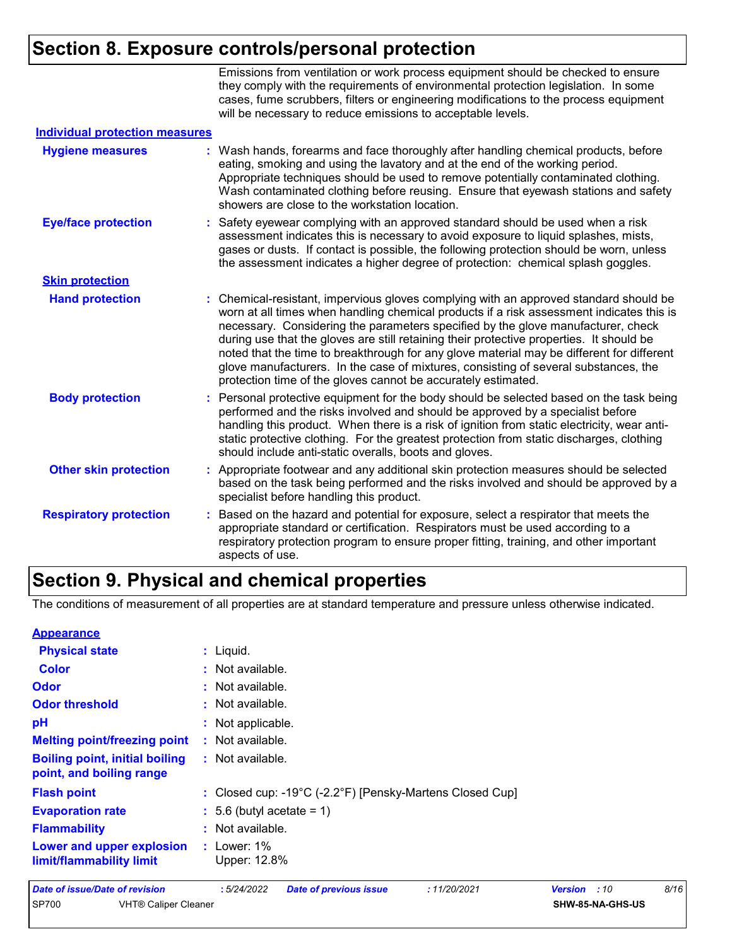# **Section 8. Exposure controls/personal protection**

|                                       | Emissions from ventilation or work process equipment should be checked to ensure<br>they comply with the requirements of environmental protection legislation. In some<br>cases, fume scrubbers, filters or engineering modifications to the process equipment<br>will be necessary to reduce emissions to acceptable levels.                                                                                                                                                                                                                                                                                        |
|---------------------------------------|----------------------------------------------------------------------------------------------------------------------------------------------------------------------------------------------------------------------------------------------------------------------------------------------------------------------------------------------------------------------------------------------------------------------------------------------------------------------------------------------------------------------------------------------------------------------------------------------------------------------|
| <b>Individual protection measures</b> |                                                                                                                                                                                                                                                                                                                                                                                                                                                                                                                                                                                                                      |
| <b>Hygiene measures</b>               | Wash hands, forearms and face thoroughly after handling chemical products, before<br>eating, smoking and using the lavatory and at the end of the working period.<br>Appropriate techniques should be used to remove potentially contaminated clothing.<br>Wash contaminated clothing before reusing. Ensure that eyewash stations and safety<br>showers are close to the workstation location.                                                                                                                                                                                                                      |
| <b>Eye/face protection</b>            | Safety eyewear complying with an approved standard should be used when a risk<br>assessment indicates this is necessary to avoid exposure to liquid splashes, mists,<br>gases or dusts. If contact is possible, the following protection should be worn, unless<br>the assessment indicates a higher degree of protection: chemical splash goggles.                                                                                                                                                                                                                                                                  |
| <b>Skin protection</b>                |                                                                                                                                                                                                                                                                                                                                                                                                                                                                                                                                                                                                                      |
| <b>Hand protection</b>                | Chemical-resistant, impervious gloves complying with an approved standard should be<br>worn at all times when handling chemical products if a risk assessment indicates this is<br>necessary. Considering the parameters specified by the glove manufacturer, check<br>during use that the gloves are still retaining their protective properties. It should be<br>noted that the time to breakthrough for any glove material may be different for different<br>glove manufacturers. In the case of mixtures, consisting of several substances, the<br>protection time of the gloves cannot be accurately estimated. |
| <b>Body protection</b>                | Personal protective equipment for the body should be selected based on the task being<br>performed and the risks involved and should be approved by a specialist before<br>handling this product. When there is a risk of ignition from static electricity, wear anti-<br>static protective clothing. For the greatest protection from static discharges, clothing<br>should include anti-static overalls, boots and gloves.                                                                                                                                                                                         |
| <b>Other skin protection</b>          | Appropriate footwear and any additional skin protection measures should be selected<br>based on the task being performed and the risks involved and should be approved by a<br>specialist before handling this product.                                                                                                                                                                                                                                                                                                                                                                                              |
| <b>Respiratory protection</b>         | Based on the hazard and potential for exposure, select a respirator that meets the<br>appropriate standard or certification. Respirators must be used according to a<br>respiratory protection program to ensure proper fitting, training, and other important<br>aspects of use.                                                                                                                                                                                                                                                                                                                                    |

## **Section 9. Physical and chemical properties**

The conditions of measurement of all properties are at standard temperature and pressure unless otherwise indicated.

| <b>Appearance</b>                                                 |                                                             |                       |      |
|-------------------------------------------------------------------|-------------------------------------------------------------|-----------------------|------|
| <b>Physical state</b>                                             | $:$ Liquid.                                                 |                       |      |
| <b>Color</b>                                                      | : Not available.                                            |                       |      |
| Odor                                                              | : Not available.                                            |                       |      |
| <b>Odor threshold</b>                                             | : Not available.                                            |                       |      |
| pH                                                                | : Not applicable.                                           |                       |      |
| <b>Melting point/freezing point</b>                               | : Not available.                                            |                       |      |
| <b>Boiling point, initial boiling</b><br>point, and boiling range | : Not available.                                            |                       |      |
| <b>Flash point</b>                                                | : Closed cup: -19°C (-2.2°F) [Pensky-Martens Closed Cup]    |                       |      |
| <b>Evaporation rate</b>                                           | $\therefore$ 5.6 (butyl acetate = 1)                        |                       |      |
| <b>Flammability</b>                                               | : Not available.                                            |                       |      |
| Lower and upper explosion<br>limit/flammability limit             | $:$ Lower: 1%<br>Upper: 12.8%                               |                       |      |
| <b>Date of issue/Date of revision</b>                             | :5/24/2022<br><b>Date of previous issue</b><br>: 11/20/2021 | <b>Version</b><br>:10 | 8/16 |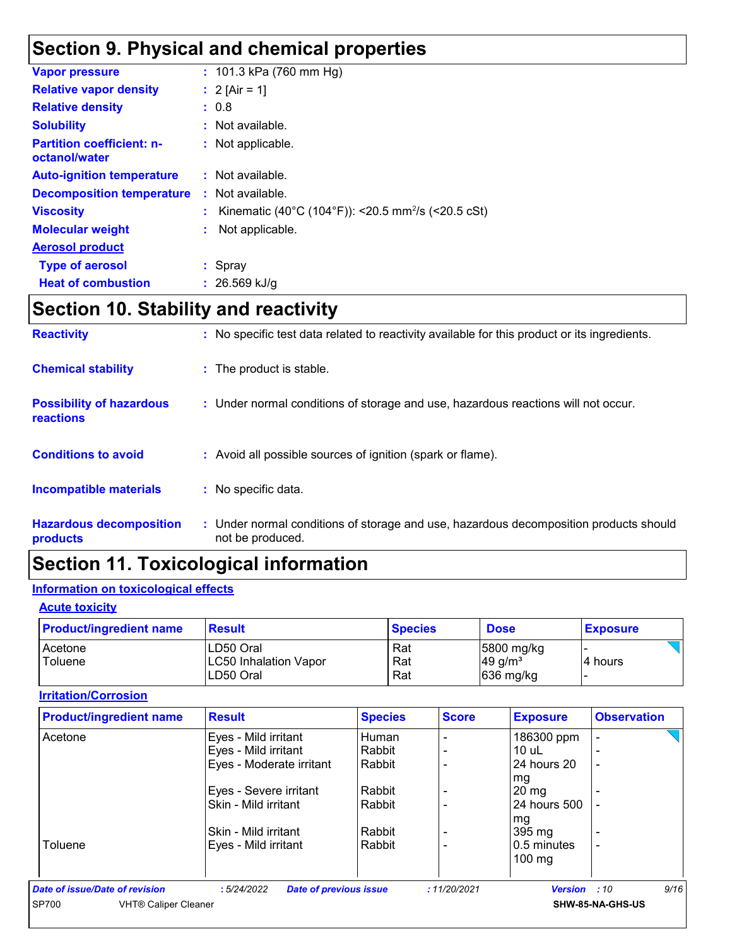# **Section 9. Physical and chemical properties**

| <b>Vapor pressure</b>                             | : $101.3$ kPa (760 mm Hg)                                      |
|---------------------------------------------------|----------------------------------------------------------------|
| <b>Relative vapor density</b>                     | : $2$ [Air = 1]                                                |
| <b>Relative density</b>                           | : 0.8                                                          |
| <b>Solubility</b>                                 | : Not available.                                               |
| <b>Partition coefficient: n-</b><br>octanol/water | : Not applicable.                                              |
| <b>Auto-ignition temperature</b>                  | : Not available.                                               |
| <b>Decomposition temperature</b>                  | : Not available.                                               |
| <b>Viscosity</b>                                  | Kinematic (40°C (104°F)): <20.5 mm <sup>2</sup> /s (<20.5 cSt) |
| <b>Molecular weight</b>                           | Not applicable.                                                |
| <b>Aerosol product</b>                            |                                                                |
| <b>Type of aerosol</b>                            | : Spray                                                        |
| <b>Heat of combustion</b>                         | $: 26.569$ kJ/g                                                |
|                                                   |                                                                |

# **Section 10. Stability and reactivity**

| <b>Reactivity</b>                            | : No specific test data related to reactivity available for this product or its ingredients.              |
|----------------------------------------------|-----------------------------------------------------------------------------------------------------------|
| <b>Chemical stability</b>                    | : The product is stable.                                                                                  |
| <b>Possibility of hazardous</b><br>reactions | : Under normal conditions of storage and use, hazardous reactions will not occur.                         |
| <b>Conditions to avoid</b>                   | : Avoid all possible sources of ignition (spark or flame).                                                |
| Incompatible materials                       | : No specific data.                                                                                       |
| <b>Hazardous decomposition</b><br>products   | : Under normal conditions of storage and use, hazardous decomposition products should<br>not be produced. |

# **Section 11. Toxicological information**

### **Information on toxicological effects**

### **Acute toxicity**

| <b>Product/ingredient name</b> | <b>Result</b>                      | <b>Species</b> | <b>Dose</b>                         | <b>Exposure</b> |
|--------------------------------|------------------------------------|----------------|-------------------------------------|-----------------|
| Acetone<br>Toluene             | LD50 Oral<br>LC50 Inhalation Vapor | Rat<br>Rat     | 5800 mg/kg<br>$49$ g/m <sup>3</sup> | 4 hours         |
|                                | LD50 Oral                          | Rat            | $ 636 \text{ mg/kg} $               |                 |

### **Irritation/Corrosion**

| <b>Product/ingredient name</b>       | <b>Result</b>                               | <b>Species</b> | <b>Score</b> | <b>Exposure</b>     | <b>Observation</b>       |
|--------------------------------------|---------------------------------------------|----------------|--------------|---------------------|--------------------------|
| Acetone                              | Eyes - Mild irritant                        | Human          |              | 186300 ppm          | $\overline{\phantom{0}}$ |
|                                      | Eyes - Mild irritant                        | Rabbit         |              | $10$ uL             |                          |
|                                      | Eyes - Moderate irritant                    | Rabbit         |              | 24 hours 20         |                          |
|                                      |                                             |                |              | mg                  |                          |
|                                      | Eyes - Severe irritant                      | Rabbit         |              | $20 \text{ mg}$     |                          |
|                                      | Skin - Mild irritant                        | Rabbit         |              | 24 hours 500        |                          |
|                                      |                                             |                |              | mg                  |                          |
|                                      | Skin - Mild irritant                        | Rabbit         |              | 395 mg              |                          |
| Toluene                              | Eyes - Mild irritant                        | Rabbit         |              | 0.5 minutes         |                          |
|                                      |                                             |                |              | $100 \text{ mg}$    |                          |
| Date of issue/Date of revision       | <b>Date of previous issue</b><br>:5/24/2022 |                | :11/20/2021  | <b>Version</b> : 10 | 9/16                     |
| SP700<br><b>VHT® Caliper Cleaner</b> |                                             |                |              |                     | SHW-85-NA-GHS-US         |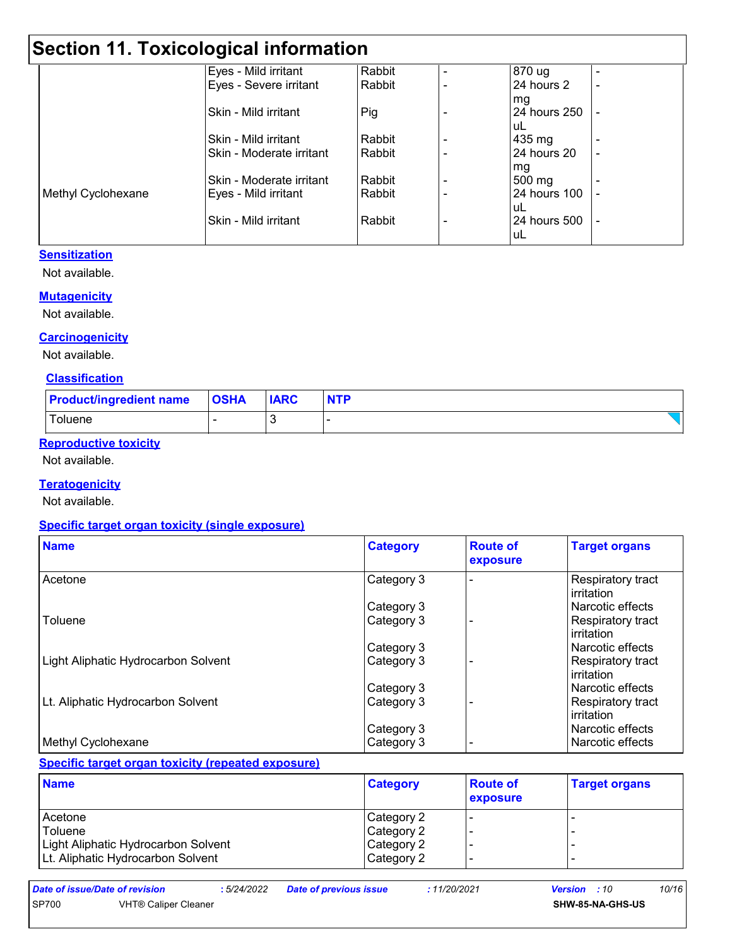# **Section 11. Toxicological information**

|                    | Eyes - Mild irritant     | Rabbit | 870 ug           |  |
|--------------------|--------------------------|--------|------------------|--|
|                    | Eyes - Severe irritant   | Rabbit | 24 hours 2       |  |
|                    |                          |        | mg               |  |
|                    | Skin - Mild irritant     | Pig    | 24 hours 250     |  |
|                    |                          |        | uL               |  |
|                    | Skin - Mild irritant     | Rabbit | 435 mg           |  |
|                    | Skin - Moderate irritant | Rabbit | 24 hours 20      |  |
|                    |                          |        | mg               |  |
|                    | Skin - Moderate irritant | Rabbit | $500 \text{ mg}$ |  |
| Methyl Cyclohexane | Eyes - Mild irritant     | Rabbit | 24 hours 100     |  |
|                    |                          |        | uL               |  |
|                    | Skin - Mild irritant     | Rabbit | 24 hours 500     |  |
|                    |                          |        | uL               |  |

### **Sensitization**

Not available.

### **Mutagenicity**

Not available.

### **Carcinogenicity**

Not available.

#### **Classification**

| <b>Product/ingredient name</b> | <b>OSHA</b> | <b>IARC</b> | <b>NTP</b> |
|--------------------------------|-------------|-------------|------------|
| Toluene                        |             |             |            |

### **Reproductive toxicity**

Not available.

### **Teratogenicity**

Not available.

### **Specific target organ toxicity (single exposure)**

| <b>Name</b>                         | <b>Category</b> | <b>Route of</b><br>exposure | <b>Target organs</b>            |
|-------------------------------------|-----------------|-----------------------------|---------------------------------|
| Acetone                             | Category 3      |                             | Respiratory tract<br>irritation |
|                                     | Category 3      |                             | l Narcotic effects              |
| Toluene                             | Category 3      |                             | Respiratory tract<br>irritation |
|                                     | Category 3      |                             | l Narcotic effects              |
| Light Aliphatic Hydrocarbon Solvent | Category 3      |                             | Respiratory tract<br>irritation |
|                                     | Category 3      |                             | l Narcotic effects              |
| Lt. Aliphatic Hydrocarbon Solvent   | Category 3      |                             | Respiratory tract<br>irritation |
|                                     | Category 3      |                             | Narcotic effects                |
| Methyl Cyclohexane                  | Category 3      |                             | Narcotic effects                |

### **Specific target organ toxicity (repeated exposure)**

| <b>Name</b>                         | <b>Category</b> | <b>Route of</b><br>exposure | <b>Target organs</b> |
|-------------------------------------|-----------------|-----------------------------|----------------------|
| Acetone                             | Category 2      |                             |                      |
| Toluene                             | Category 2      |                             |                      |
| Light Aliphatic Hydrocarbon Solvent | Category 2      |                             |                      |
| Lt. Aliphatic Hydrocarbon Solvent   | Category 2      |                             |                      |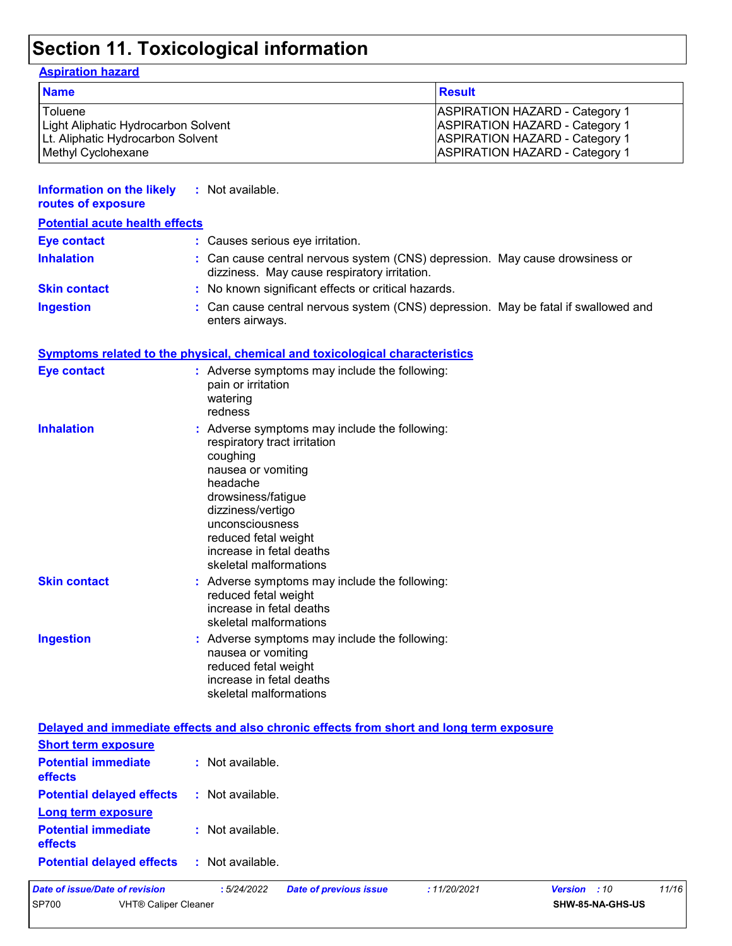# **Section 11. Toxicological information**

### **Aspiration hazard**

| <b>Name</b>                         | <b>Result</b>                         |
|-------------------------------------|---------------------------------------|
| Toluene                             | <b>ASPIRATION HAZARD - Category 1</b> |
| Light Aliphatic Hydrocarbon Solvent | <b>ASPIRATION HAZARD - Category 1</b> |
| Lt. Aliphatic Hydrocarbon Solvent   | <b>ASPIRATION HAZARD - Category 1</b> |
| Methyl Cyclohexane                  | <b>ASPIRATION HAZARD - Category 1</b> |

| <b>Information on the likely</b><br>routes of exposure | : Not available.                                                                                                                                                                                                                                                        |
|--------------------------------------------------------|-------------------------------------------------------------------------------------------------------------------------------------------------------------------------------------------------------------------------------------------------------------------------|
| <b>Potential acute health effects</b>                  |                                                                                                                                                                                                                                                                         |
| <b>Eye contact</b>                                     | : Causes serious eye irritation.                                                                                                                                                                                                                                        |
| <b>Inhalation</b>                                      | : Can cause central nervous system (CNS) depression. May cause drowsiness or<br>dizziness. May cause respiratory irritation.                                                                                                                                            |
| <b>Skin contact</b>                                    | : No known significant effects or critical hazards.                                                                                                                                                                                                                     |
| <b>Ingestion</b>                                       | : Can cause central nervous system (CNS) depression. May be fatal if swallowed and<br>enters airways.                                                                                                                                                                   |
|                                                        | <b>Symptoms related to the physical, chemical and toxicological characteristics</b>                                                                                                                                                                                     |
| <b>Eye contact</b>                                     | : Adverse symptoms may include the following:<br>pain or irritation<br>watering<br>redness                                                                                                                                                                              |
| <b>Inhalation</b>                                      | : Adverse symptoms may include the following:<br>respiratory tract irritation<br>coughing<br>nausea or vomiting<br>headache<br>drowsiness/fatigue<br>dizziness/vertigo<br>unconsciousness<br>reduced fetal weight<br>increase in fetal deaths<br>skeletal malformations |
| <b>Skin contact</b>                                    | : Adverse symptoms may include the following:<br>reduced fetal weight<br>increase in fetal deaths<br>skeletal malformations                                                                                                                                             |
| <b>Ingestion</b>                                       | : Adverse symptoms may include the following:<br>nausea or vomiting<br>reduced fetal weight<br>increase in fetal deaths<br>skeletal malformations                                                                                                                       |
|                                                        | Delayed and immediate effects and also chronic effects from short and long term exposure                                                                                                                                                                                |
| <b>Short term exposure</b>                             |                                                                                                                                                                                                                                                                         |
| <b>Potential immediate</b><br>effects                  | : Not available.                                                                                                                                                                                                                                                        |
| <b>Dotantial delayed offects</b> . Not available       |                                                                                                                                                                                                                                                                         |

| <b>Potential delayed effects</b>             | : Not available. |
|----------------------------------------------|------------------|
| Long term exposure                           |                  |
| <b>Potential immediate</b><br><b>effects</b> | : Not available. |

**Potential delayed effects :** Not available.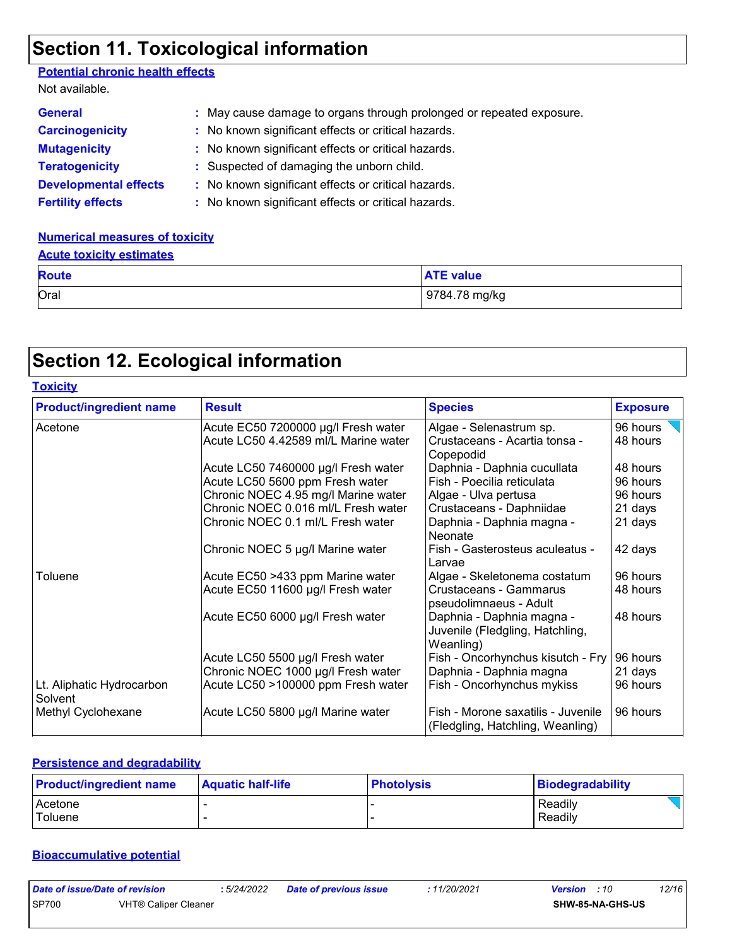# **Section 11. Toxicological information**

### **Potential chronic health effects**

| Not available.               |                                                                      |
|------------------------------|----------------------------------------------------------------------|
| <b>General</b>               | : May cause damage to organs through prolonged or repeated exposure. |
| <b>Carcinogenicity</b>       | : No known significant effects or critical hazards.                  |
| <b>Mutagenicity</b>          | : No known significant effects or critical hazards.                  |
| <b>Teratogenicity</b>        | : Suspected of damaging the unborn child.                            |
| <b>Developmental effects</b> | : No known significant effects or critical hazards.                  |
| <b>Fertility effects</b>     | : No known significant effects or critical hazards.                  |

### **Numerical measures of toxicity**

### **Acute toxicity estimates**

| <b>Route</b> | <b>ATE value</b> |
|--------------|------------------|
| Oral         | 9784.78 mg/kg    |

# **Section 12. Ecological information**

| <b>Toxicity</b>                      |                                      |                                                                           |                 |
|--------------------------------------|--------------------------------------|---------------------------------------------------------------------------|-----------------|
| <b>Product/ingredient name</b>       | <b>Result</b>                        | <b>Species</b>                                                            | <b>Exposure</b> |
| Acetone                              | Acute EC50 7200000 µg/l Fresh water  | Algae - Selenastrum sp.                                                   | 96 hours        |
|                                      | Acute LC50 4.42589 ml/L Marine water | Crustaceans - Acartia tonsa -<br>Copepodid                                | 48 hours        |
|                                      | Acute LC50 7460000 µg/l Fresh water  | Daphnia - Daphnia cucullata                                               | 48 hours        |
|                                      | Acute LC50 5600 ppm Fresh water      | Fish - Poecilia reticulata                                                | 96 hours        |
|                                      | Chronic NOEC 4.95 mg/l Marine water  | Algae - Ulva pertusa                                                      | 96 hours        |
|                                      | Chronic NOEC 0.016 ml/L Fresh water  | Crustaceans - Daphniidae                                                  | 21 days         |
|                                      | Chronic NOEC 0.1 ml/L Fresh water    | Daphnia - Daphnia magna -<br>Neonate                                      | 21 days         |
|                                      | Chronic NOEC 5 µg/l Marine water     | Fish - Gasterosteus aculeatus -<br>Larvae                                 | 42 days         |
| Toluene                              | Acute EC50 >433 ppm Marine water     | Algae - Skeletonema costatum                                              | 96 hours        |
|                                      | Acute EC50 11600 µg/l Fresh water    | Crustaceans - Gammarus<br>pseudolimnaeus - Adult                          | 48 hours        |
|                                      | Acute EC50 6000 µg/l Fresh water     | Daphnia - Daphnia magna -<br>Juvenile (Fledgling, Hatchling,<br>Weanling) | 48 hours        |
|                                      | Acute LC50 5500 µg/l Fresh water     | Fish - Oncorhynchus kisutch - Fry                                         | 96 hours        |
|                                      | Chronic NOEC 1000 µg/l Fresh water   | Daphnia - Daphnia magna                                                   | 21 days         |
| Lt. Aliphatic Hydrocarbon<br>Solvent | Acute LC50 >100000 ppm Fresh water   | Fish - Oncorhynchus mykiss                                                | 96 hours        |
| Methyl Cyclohexane                   | Acute LC50 5800 µg/l Marine water    | Fish - Morone saxatilis - Juvenile<br>(Fledgling, Hatchling, Weanling)    | 96 hours        |

### **Persistence and degradability**

| <b>Product/ingredient name</b> | <b>Aquatic half-life</b> | <b>Photolysis</b> | Biodegradability |
|--------------------------------|--------------------------|-------------------|------------------|
| Acetone                        |                          |                   | Readily          |
| Toluene                        |                          |                   | Readily          |

### **Bioaccumulative potential**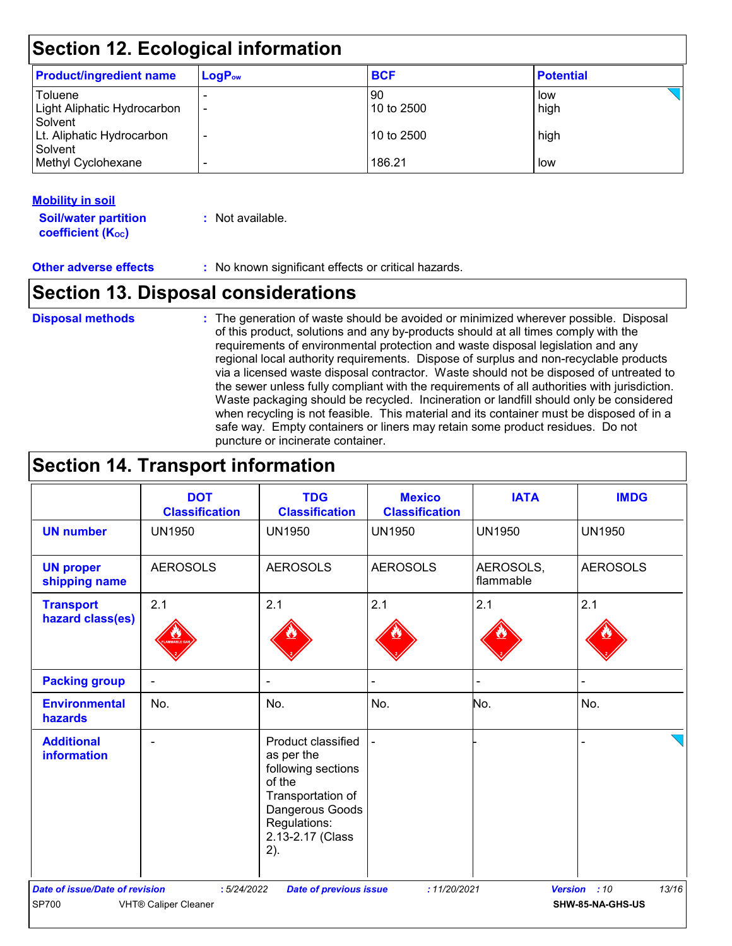# **Section 12. Ecological information**

| <b>Product/ingredient name</b> | $LogP_{ow}$ | <b>BCF</b> | <b>Potential</b> |  |  |
|--------------------------------|-------------|------------|------------------|--|--|
| Toluene                        |             | 90         | low              |  |  |
| Light Aliphatic Hydrocarbon    | -           | 10 to 2500 | high             |  |  |
| Solvent                        |             |            |                  |  |  |
| Lt. Aliphatic Hydrocarbon      |             | 10 to 2500 | high             |  |  |
| Solvent<br>Methyl Cyclohexane  |             | 186.21     | low              |  |  |
|                                |             |            |                  |  |  |

### **Mobility in soil**

**Soil/water partition coefficient (K**<sup>oc</sup>)

**:** Not available.

**Other adverse effects** : No known significant effects or critical hazards.

# **Section 13. Disposal considerations**

### **Disposal methods :**

The generation of waste should be avoided or minimized wherever possible. Disposal of this product, solutions and any by-products should at all times comply with the requirements of environmental protection and waste disposal legislation and any regional local authority requirements. Dispose of surplus and non-recyclable products via a licensed waste disposal contractor. Waste should not be disposed of untreated to the sewer unless fully compliant with the requirements of all authorities with jurisdiction. Waste packaging should be recycled. Incineration or landfill should only be considered when recycling is not feasible. This material and its container must be disposed of in a safe way. Empty containers or liners may retain some product residues. Do not puncture or incinerate container.

# **Section 14. Transport information**

|                                                | <b>DOT</b><br><b>Classification</b>       | <b>TDG</b><br><b>Classification</b>                                                                                                                 | <b>Mexico</b><br><b>Classification</b> | <b>IATA</b>            | <b>IMDG</b>                               |
|------------------------------------------------|-------------------------------------------|-----------------------------------------------------------------------------------------------------------------------------------------------------|----------------------------------------|------------------------|-------------------------------------------|
| <b>UN number</b>                               | <b>UN1950</b>                             | <b>UN1950</b>                                                                                                                                       | <b>UN1950</b>                          | <b>UN1950</b>          | <b>UN1950</b>                             |
| <b>UN proper</b><br>shipping name              | <b>AEROSOLS</b>                           | <b>AEROSOLS</b>                                                                                                                                     | <b>AEROSOLS</b>                        | AEROSOLS,<br>flammable | <b>AEROSOLS</b>                           |
| <b>Transport</b><br>hazard class(es)           | 2.1                                       | 2.1                                                                                                                                                 | 2.1                                    | 2.1                    | 2.1                                       |
| <b>Packing group</b>                           | $\blacksquare$                            | $\blacksquare$                                                                                                                                      |                                        |                        |                                           |
| <b>Environmental</b><br>hazards                | No.                                       | No.                                                                                                                                                 | No.                                    | No.                    | No.                                       |
| <b>Additional</b><br>information               |                                           | Product classified<br>as per the<br>following sections<br>of the<br>Transportation of<br>Dangerous Goods<br>Regulations:<br>2.13-2.17 (Class<br>2). |                                        |                        |                                           |
| <b>Date of issue/Date of revision</b><br>SP700 | :5/24/2022<br><b>VHT® Caliper Cleaner</b> | <b>Date of previous issue</b>                                                                                                                       | : 11/20/2021                           |                        | 13/16<br>Version : 10<br>SHW-85-NA-GHS-US |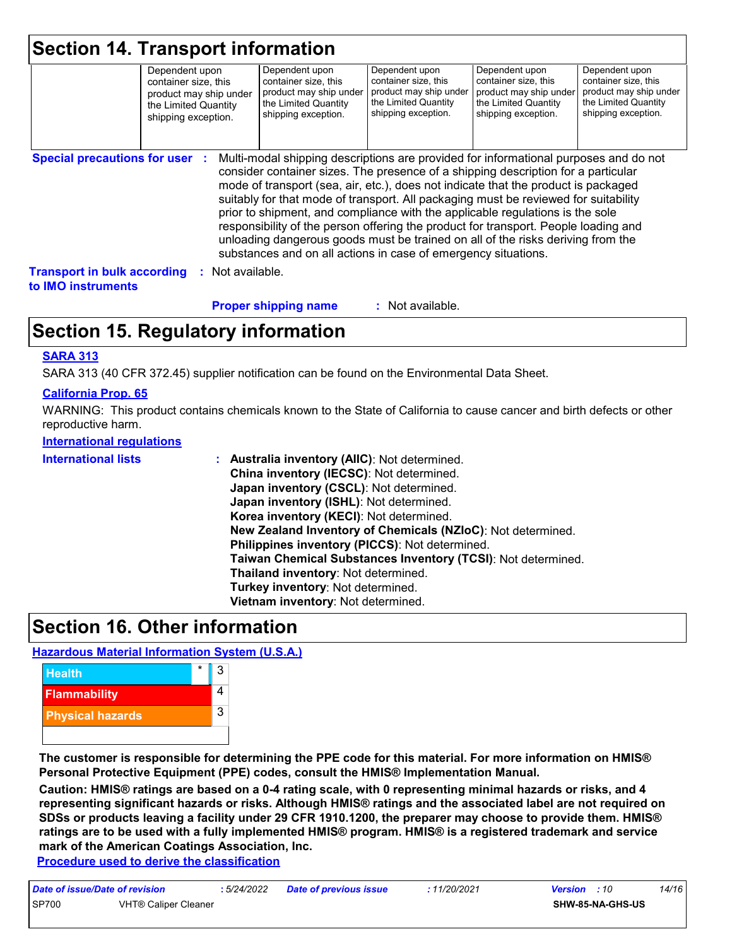| <b>Section 14. Transport information</b>                        |                                                                                                                 |                |                                                                                                                                                                                                                                                                                                                                                                                                                                                                                                                                                                                                                                                                                     |                                                                                                                 |                                                                                                                 |                                                                                                                 |
|-----------------------------------------------------------------|-----------------------------------------------------------------------------------------------------------------|----------------|-------------------------------------------------------------------------------------------------------------------------------------------------------------------------------------------------------------------------------------------------------------------------------------------------------------------------------------------------------------------------------------------------------------------------------------------------------------------------------------------------------------------------------------------------------------------------------------------------------------------------------------------------------------------------------------|-----------------------------------------------------------------------------------------------------------------|-----------------------------------------------------------------------------------------------------------------|-----------------------------------------------------------------------------------------------------------------|
|                                                                 | Dependent upon<br>container size, this<br>product may ship under<br>the Limited Quantity<br>shipping exception. |                | Dependent upon<br>container size, this<br>product may ship under<br>the Limited Quantity<br>shipping exception.                                                                                                                                                                                                                                                                                                                                                                                                                                                                                                                                                                     | Dependent upon<br>container size, this<br>product may ship under<br>the Limited Quantity<br>shipping exception. | Dependent upon<br>container size, this<br>product may ship under<br>the Limited Quantity<br>shipping exception. | Dependent upon<br>container size, this<br>product may ship under<br>the Limited Quantity<br>shipping exception. |
| <b>Special precautions for user :</b>                           |                                                                                                                 |                | Multi-modal shipping descriptions are provided for informational purposes and do not<br>consider container sizes. The presence of a shipping description for a particular<br>mode of transport (sea, air, etc.), does not indicate that the product is packaged<br>suitably for that mode of transport. All packaging must be reviewed for suitability<br>prior to shipment, and compliance with the applicable regulations is the sole<br>responsibility of the person offering the product for transport. People loading and<br>unloading dangerous goods must be trained on all of the risks deriving from the<br>substances and on all actions in case of emergency situations. |                                                                                                                 |                                                                                                                 |                                                                                                                 |
| <b>Transport in bulk according</b><br>to <b>IMO</b> instruments |                                                                                                                 | Not available. |                                                                                                                                                                                                                                                                                                                                                                                                                                                                                                                                                                                                                                                                                     |                                                                                                                 |                                                                                                                 |                                                                                                                 |
|                                                                 |                                                                                                                 |                | <b>Proper shipping name</b>                                                                                                                                                                                                                                                                                                                                                                                                                                                                                                                                                                                                                                                         | : Not available.                                                                                                |                                                                                                                 |                                                                                                                 |

# **Section 15. Regulatory information**

### **SARA 313**

SARA 313 (40 CFR 372.45) supplier notification can be found on the Environmental Data Sheet.

### **California Prop. 65**

WARNING: This product contains chemicals known to the State of California to cause cancer and birth defects or other reproductive harm.

#### **International regulations**

| <b>International lists</b> | Australia inventory (AIIC): Not determined.<br>China inventory (IECSC): Not determined.<br>Japan inventory (CSCL): Not determined.<br>Japan inventory (ISHL): Not determined.<br>Korea inventory (KECI): Not determined.<br>New Zealand Inventory of Chemicals (NZIoC): Not determined.<br>Philippines inventory (PICCS): Not determined.<br>Taiwan Chemical Substances Inventory (TCSI): Not determined.<br>Thailand inventory: Not determined.<br>Turkey inventory: Not determined.<br>Vietnam inventory: Not determined. |
|----------------------------|-----------------------------------------------------------------------------------------------------------------------------------------------------------------------------------------------------------------------------------------------------------------------------------------------------------------------------------------------------------------------------------------------------------------------------------------------------------------------------------------------------------------------------|
|----------------------------|-----------------------------------------------------------------------------------------------------------------------------------------------------------------------------------------------------------------------------------------------------------------------------------------------------------------------------------------------------------------------------------------------------------------------------------------------------------------------------------------------------------------------------|

### **Section 16. Other information**

### **Hazardous Material Information System (U.S.A.)**



**The customer is responsible for determining the PPE code for this material. For more information on HMIS® Personal Protective Equipment (PPE) codes, consult the HMIS® Implementation Manual.**

**Caution: HMIS® ratings are based on a 0-4 rating scale, with 0 representing minimal hazards or risks, and 4 representing significant hazards or risks. Although HMIS® ratings and the associated label are not required on SDSs or products leaving a facility under 29 CFR 1910.1200, the preparer may choose to provide them. HMIS® ratings are to be used with a fully implemented HMIS® program. HMIS® is a registered trademark and service mark of the American Coatings Association, Inc.**

**Procedure used to derive the classification**

| Date of issue/Date of revision |                      | : 5/24/2022 | <b>Date of previous issue</b> | : 11/20/2021 | <b>Version</b> : 10 |                         | 14/16 |
|--------------------------------|----------------------|-------------|-------------------------------|--------------|---------------------|-------------------------|-------|
| <b>SP700</b>                   | VHT® Caliper Cleaner |             |                               |              |                     | <b>SHW-85-NA-GHS-US</b> |       |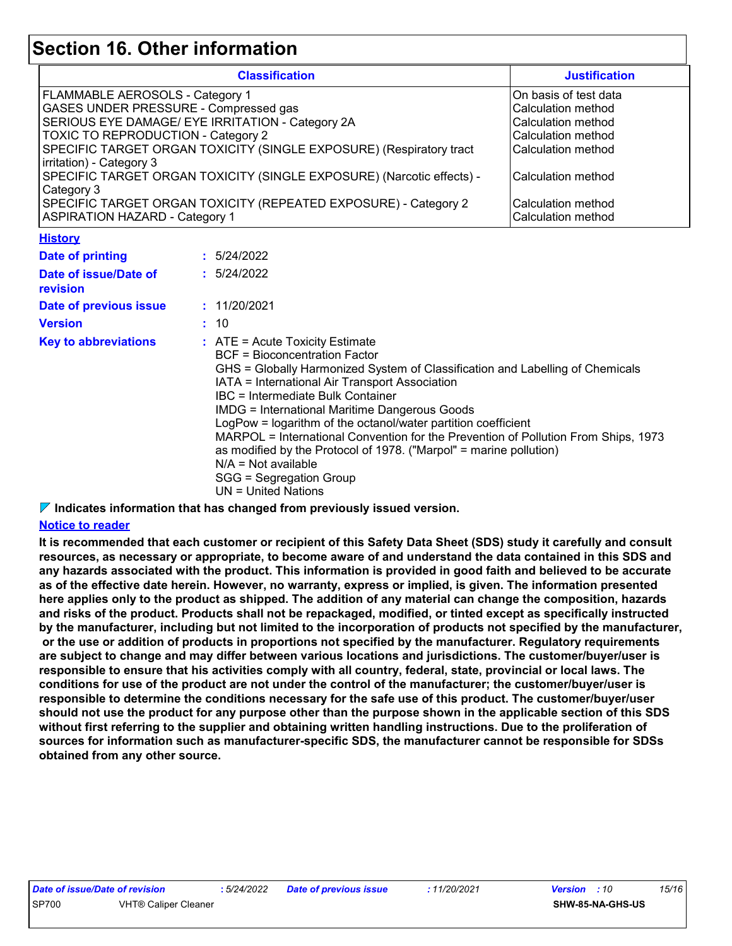## **Section 16. Other information**

| <b>Classification</b>                                                                             | <b>Justification</b>   |
|---------------------------------------------------------------------------------------------------|------------------------|
| FLAMMABLE AEROSOLS - Category 1                                                                   | IOn basis of test data |
| <b>GASES UNDER PRESSURE - Compressed gas</b>                                                      | Calculation method     |
| SERIOUS EYE DAMAGE/ EYE IRRITATION - Category 2A                                                  | Calculation method     |
| TOXIC TO REPRODUCTION - Category 2                                                                | Calculation method     |
| SPECIFIC TARGET ORGAN TOXICITY (SINGLE EXPOSURE) (Respiratory tract                               | l Calculation method   |
| irritation) - Category 3<br>SPECIFIC TARGET ORGAN TOXICITY (SINGLE EXPOSURE) (Narcotic effects) - | Calculation method     |
| Category 3                                                                                        |                        |
| SPECIFIC TARGET ORGAN TOXICITY (REPEATED EXPOSURE) - Category 2                                   | Calculation method     |
| <b>ASPIRATION HAZARD - Category 1</b>                                                             | Calculation method     |

#### **History**

| <b>Date of printing</b>           | : 5/24/2022                                                                                                                                                                                                                                                                                                                                                                                                                                                                                                                                                                                                           |
|-----------------------------------|-----------------------------------------------------------------------------------------------------------------------------------------------------------------------------------------------------------------------------------------------------------------------------------------------------------------------------------------------------------------------------------------------------------------------------------------------------------------------------------------------------------------------------------------------------------------------------------------------------------------------|
| Date of issue/Date of<br>revision | : 5/24/2022                                                                                                                                                                                                                                                                                                                                                                                                                                                                                                                                                                                                           |
| Date of previous issue            | : 11/20/2021                                                                                                                                                                                                                                                                                                                                                                                                                                                                                                                                                                                                          |
| <b>Version</b>                    | : 10                                                                                                                                                                                                                                                                                                                                                                                                                                                                                                                                                                                                                  |
| <b>Key to abbreviations</b>       | $\therefore$ ATE = Acute Toxicity Estimate<br>BCF = Bioconcentration Factor<br>GHS = Globally Harmonized System of Classification and Labelling of Chemicals<br>IATA = International Air Transport Association<br>IBC = Intermediate Bulk Container<br><b>IMDG = International Maritime Dangerous Goods</b><br>LogPow = logarithm of the octanol/water partition coefficient<br>MARPOL = International Convention for the Prevention of Pollution From Ships, 1973<br>as modified by the Protocol of 1978. ("Marpol" = marine pollution)<br>$N/A = Not available$<br>SGG = Segregation Group<br>$UN = United Nations$ |

### **Indicates information that has changed from previously issued version.**

### **Notice to reader**

**It is recommended that each customer or recipient of this Safety Data Sheet (SDS) study it carefully and consult resources, as necessary or appropriate, to become aware of and understand the data contained in this SDS and any hazards associated with the product. This information is provided in good faith and believed to be accurate as of the effective date herein. However, no warranty, express or implied, is given. The information presented here applies only to the product as shipped. The addition of any material can change the composition, hazards and risks of the product. Products shall not be repackaged, modified, or tinted except as specifically instructed by the manufacturer, including but not limited to the incorporation of products not specified by the manufacturer, or the use or addition of products in proportions not specified by the manufacturer. Regulatory requirements are subject to change and may differ between various locations and jurisdictions. The customer/buyer/user is responsible to ensure that his activities comply with all country, federal, state, provincial or local laws. The conditions for use of the product are not under the control of the manufacturer; the customer/buyer/user is responsible to determine the conditions necessary for the safe use of this product. The customer/buyer/user should not use the product for any purpose other than the purpose shown in the applicable section of this SDS without first referring to the supplier and obtaining written handling instructions. Due to the proliferation of sources for information such as manufacturer-specific SDS, the manufacturer cannot be responsible for SDSs obtained from any other source.**